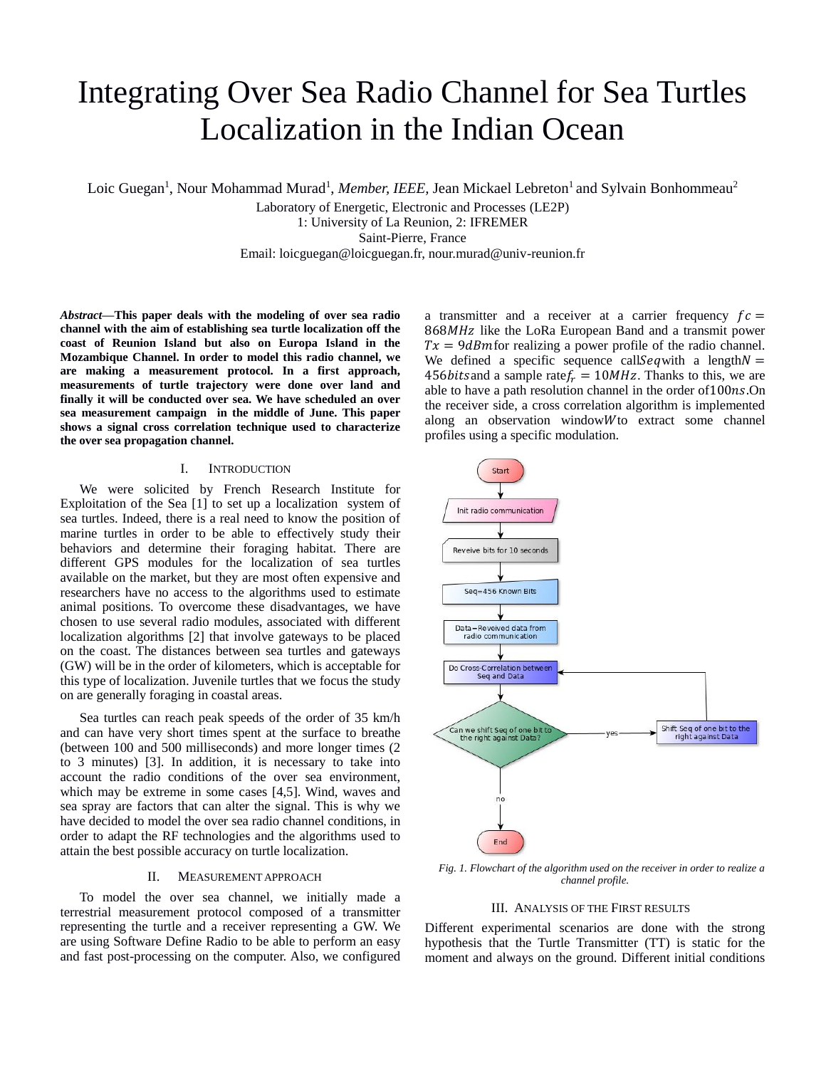# Integrating Over Sea Radio Channel for Sea Turtles Localization in the Indian Ocean

Loic Guegan<sup>1</sup>, Nour Mohammad Murad<sup>1</sup>, Member, IEEE, Jean Mickael Lebreton<sup>1</sup> and Sylvain Bonhommeau<sup>2</sup>

Laboratory of Energetic, Electronic and Processes (LE2P)

1: University of La Reunion, 2: IFREMER

Saint-Pierre, France

Email: loicguegan@loicguegan.fr, nour.murad@univ-reunion.fr

*Abstract***—This paper deals with the modeling of over sea radio channel with the aim of establishing sea turtle localization off the coast of Reunion Island but also on Europa Island in the Mozambique Channel. In order to model this radio channel, we are making a measurement protocol. In a first approach, measurements of turtle trajectory were done over land and finally it will be conducted over sea. We have scheduled an over sea measurement campaign in the middle of June. This paper shows a signal cross correlation technique used to characterize the over sea propagation channel.** 

### I. INTRODUCTION

We were solicited by French Research Institute for Exploitation of the Sea [1] to set up a localization system of sea turtles. Indeed, there is a real need to know the position of marine turtles in order to be able to effectively study their behaviors and determine their foraging habitat. There are different GPS modules for the localization of sea turtles available on the market, but they are most often expensive and researchers have no access to the algorithms used to estimate animal positions. To overcome these disadvantages, we have chosen to use several radio modules, associated with different localization algorithms [2] that involve gateways to be placed on the coast. The distances between sea turtles and gateways (GW) will be in the order of kilometers, which is acceptable for this type of localization. Juvenile turtles that we focus the study on are generally foraging in coastal areas.

Sea turtles can reach peak speeds of the order of 35 km/h and can have very short times spent at the surface to breathe (between 100 and 500 milliseconds) and more longer times (2 to 3 minutes) [3]. In addition, it is necessary to take into account the radio conditions of the over sea environment, which may be extreme in some cases [4,5]. Wind, waves and sea spray are factors that can alter the signal. This is why we have decided to model the over sea radio channel conditions, in order to adapt the RF technologies and the algorithms used to attain the best possible accuracy on turtle localization.

# II. MEASUREMENT APPROACH

To model the over sea channel, we initially made a terrestrial measurement protocol composed of a transmitter representing the turtle and a receiver representing a GW. We are using Software Define Radio to be able to perform an easy and fast post-processing on the computer. Also, we configured

a transmitter and a receiver at a carrier frequency  $fc =$ 868MHz like the LoRa European Band and a transmit power  $Tx = 9dBm$  for realizing a power profile of the radio channel. We defined a specific sequence call Seq with a length  $N =$ 456bits and a sample rate  $f_r = 10MHz$ . Thanks to this, we are able to have a path resolution channel in the order of  $100ns$ . On the receiver side, a cross correlation algorithm is implemented along an observation window $W$ to extract some channel profiles using a specific modulation.



 *Fig. 1. Flowchart of the algorithm used on the receiver in order to realize a channel profile.*

# III. ANALYSIS OF THE FIRST RESULTS

Different experimental scenarios are done with the strong hypothesis that the Turtle Transmitter (TT) is static for the moment and always on the ground. Different initial conditions